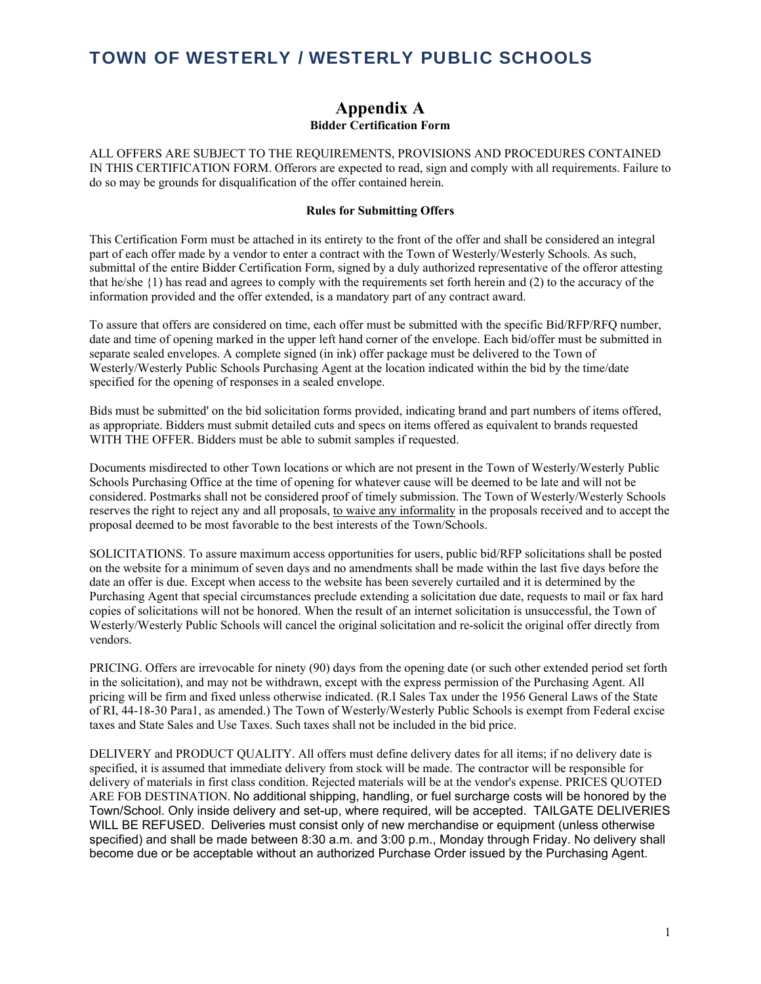### **Appendix A Bidder Certification Form**

ALL OFFERS ARE SUBJECT TO THE REQUIREMENTS, PROVISIONS AND PROCEDURES CONTAINED IN THIS CERTIFICATION FORM. Offerors are expected to read, sign and comply with all requirements. Failure to do so may be grounds for disqualification of the offer contained herein.

#### **Rules for Submitting Offers**

This Certification Form must be attached in its entirety to the front of the offer and shall be considered an integral part of each offer made by a vendor to enter a contract with the Town of Westerly/Westerly Schools. As such, submittal of the entire Bidder Certification Form, signed by a duly authorized representative of the offeror attesting that he/she {1) has read and agrees to comply with the requirements set forth herein and (2) to the accuracy of the information provided and the offer extended, is a mandatory part of any contract award.

To assure that offers are considered on time, each offer must be submitted with the specific Bid/RFP/RFQ number, date and time of opening marked in the upper left hand corner of the envelope. Each bid/offer must be submitted in separate sealed envelopes. A complete signed (in ink) offer package must be delivered to the Town of Westerly/Westerly Public Schools Purchasing Agent at the location indicated within the bid by the time/date specified for the opening of responses in a sealed envelope.

Bids must be submitted' on the bid solicitation forms provided, indicating brand and part numbers of items offered, as appropriate. Bidders must submit detailed cuts and specs on items offered as equivalent to brands requested WITH THE OFFER. Bidders must be able to submit samples if requested.

Documents misdirected to other Town locations or which are not present in the Town of Westerly/Westerly Public Schools Purchasing Office at the time of opening for whatever cause will be deemed to be late and will not be considered. Postmarks shall not be considered proof of timely submission. The Town of Westerly/Westerly Schools reserves the right to reject any and all proposals, to waive any informality in the proposals received and to accept the proposal deemed to be most favorable to the best interests of the Town/Schools.

SOLICITATIONS. To assure maximum access opportunities for users, public bid/RFP solicitations shall be posted on the website for a minimum of seven days and no amendments shall be made within the last five days before the date an offer is due. Except when access to the website has been severely curtailed and it is determined by the Purchasing Agent that special circumstances preclude extending a solicitation due date, requests to mail or fax hard copies of solicitations will not be honored. When the result of an internet solicitation is unsuccessful, the Town of Westerly/Westerly Public Schools will cancel the original solicitation and re-solicit the original offer directly from vendors.

PRICING. Offers are irrevocable for ninety (90) days from the opening date (or such other extended period set forth in the solicitation), and may not be withdrawn, except with the express permission of the Purchasing Agent. All pricing will be firm and fixed unless otherwise indicated. (R.I Sales Tax under the 1956 General Laws of the State of RI, 44-18-30 Para1, as amended.) The Town of Westerly/Westerly Public Schools is exempt from Federal excise taxes and State Sales and Use Taxes. Such taxes shall not be included in the bid price.

DELIVERY and PRODUCT QUALITY. All offers must define delivery dates for all items; if no delivery date is specified, it is assumed that immediate delivery from stock will be made. The contractor will be responsible for delivery of materials in first class condition. Rejected materials will be at the vendor's expense. PRICES QUOTED ARE FOB DESTINATION. No additional shipping, handling, or fuel surcharge costs will be honored by the Town/School. Only inside delivery and set-up, where required, will be accepted. TAILGATE DELIVERIES WILL BE REFUSED. Deliveries must consist only of new merchandise or equipment (unless otherwise specified) and shall be made between 8:30 a.m. and 3:00 p.m., Monday through Friday. No delivery shall become due or be acceptable without an authorized Purchase Order issued by the Purchasing Agent.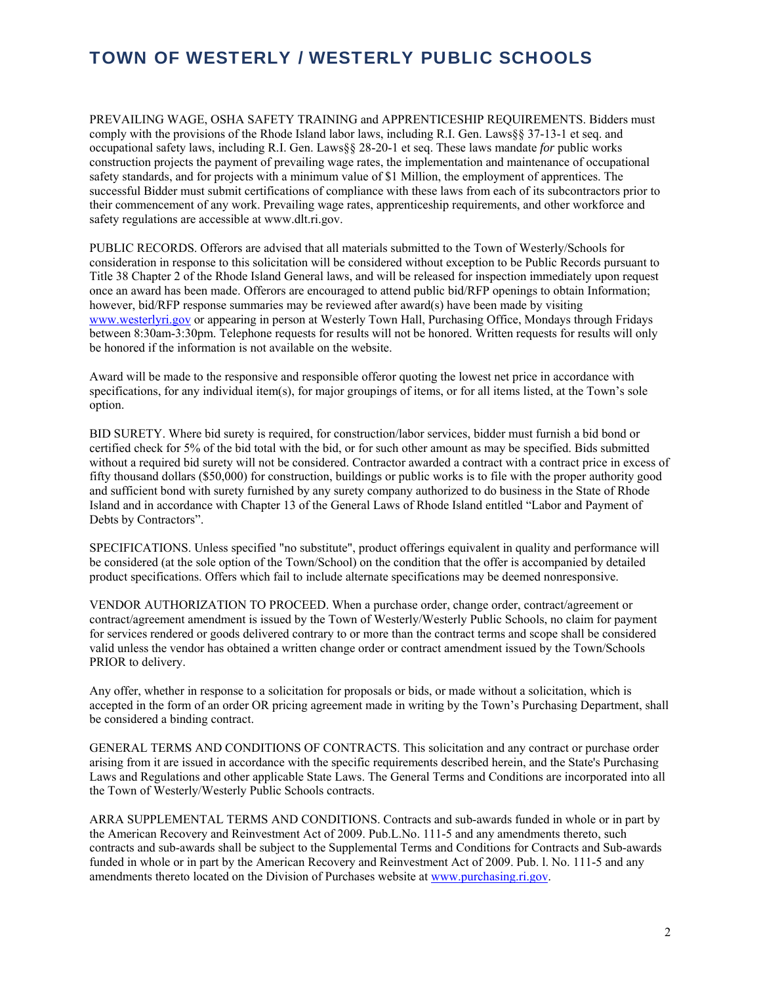PREVAILING WAGE, OSHA SAFETY TRAINING and APPRENTICESHIP REQUIREMENTS. Bidders must comply with the provisions of the Rhode Island labor laws, including R.I. Gen. Laws§§ 37-13-1 et seq. and occupational safety laws, including R.I. Gen. Laws§§ 28-20-1 et seq. These laws mandate *for* public works construction projects the payment of prevailing wage rates, the implementation and maintenance of occupational safety standards, and for projects with a minimum value of \$1 Million, the employment of apprentices. The successful Bidder must submit certifications of compliance with these laws from each of its subcontractors prior to their commencement of any work. Prevailing wage rates, apprenticeship requirements, and other workforce and safety regulations are accessible at www.dlt.ri.gov.

PUBLIC RECORDS. Offerors are advised that all materials submitted to the Town of Westerly/Schools for consideration in response to this solicitation will be considered without exception to be Public Records pursuant to Title 38 Chapter 2 of the Rhode Island General laws, and will be released for inspection immediately upon request once an award has been made. Offerors are encouraged to attend public bid/RFP openings to obtain Information; however, bid/RFP response summaries may be reviewed after award(s) have been made by visiting www.westerlyri.gov or appearing in person at Westerly Town Hall, Purchasing Office, Mondays through Fridays between 8:30am-3:30pm. Telephone requests for results will not be honored. Written requests for results will only be honored if the information is not available on the website.

Award will be made to the responsive and responsible offeror quoting the lowest net price in accordance with specifications, for any individual item(s), for major groupings of items, or for all items listed, at the Town's sole option.

BID SURETY. Where bid surety is required, for construction/labor services, bidder must furnish a bid bond or certified check for 5% of the bid total with the bid, or for such other amount as may be specified. Bids submitted without a required bid surety will not be considered. Contractor awarded a contract with a contract price in excess of fifty thousand dollars (\$50,000) for construction, buildings or public works is to file with the proper authority good and sufficient bond with surety furnished by any surety company authorized to do business in the State of Rhode Island and in accordance with Chapter 13 of the General Laws of Rhode Island entitled "Labor and Payment of Debts by Contractors".

SPECIFICATIONS. Unless specified "no substitute", product offerings equivalent in quality and performance will be considered (at the sole option of the Town/School) on the condition that the offer is accompanied by detailed product specifications. Offers which fail to include alternate specifications may be deemed nonresponsive.

VENDOR AUTHORIZATION TO PROCEED. When a purchase order, change order, contract/agreement or contract/agreement amendment is issued by the Town of Westerly/Westerly Public Schools, no claim for payment for services rendered or goods delivered contrary to or more than the contract terms and scope shall be considered valid unless the vendor has obtained a written change order or contract amendment issued by the Town/Schools PRIOR to delivery.

Any offer, whether in response to a solicitation for proposals or bids, or made without a solicitation, which is accepted in the form of an order OR pricing agreement made in writing by the Town's Purchasing Department, shall be considered a binding contract.

GENERAL TERMS AND CONDITIONS OF CONTRACTS. This solicitation and any contract or purchase order arising from it are issued in accordance with the specific requirements described herein, and the State's Purchasing Laws and Regulations and other applicable State Laws. The General Terms and Conditions are incorporated into all the Town of Westerly/Westerly Public Schools contracts.

ARRA SUPPLEMENTAL TERMS AND CONDITIONS. Contracts and sub-awards funded in whole or in part by the American Recovery and Reinvestment Act of 2009. Pub.L.No. 111-5 and any amendments thereto, such contracts and sub-awards shall be subject to the Supplemental Terms and Conditions for Contracts and Sub-awards funded in whole or in part by the American Recovery and Reinvestment Act of 2009. Pub. l. No. 111-5 and any amendments thereto located on the Division of Purchases website at www.purchasing.ri.gov.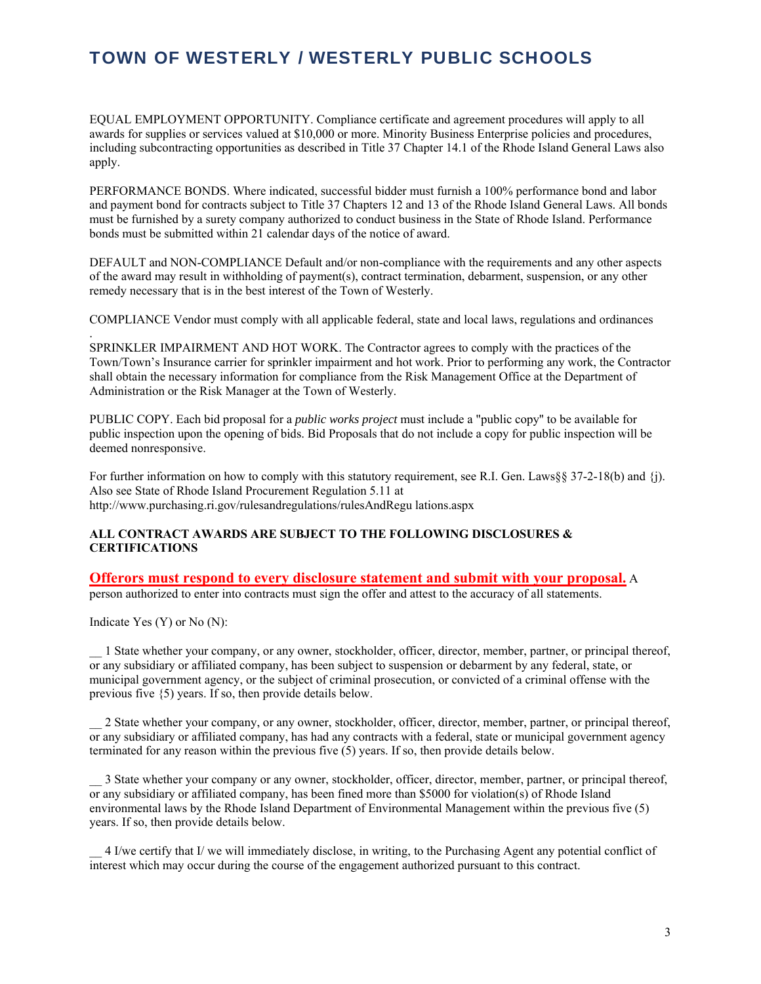EQUAL EMPLOYMENT OPPORTUNITY. Compliance certificate and agreement procedures will apply to all awards for supplies or services valued at \$10,000 or more. Minority Business Enterprise policies and procedures, including subcontracting opportunities as described in Title 37 Chapter 14.1 of the Rhode Island General Laws also apply.

PERFORMANCE BONDS. Where indicated, successful bidder must furnish a 100% performance bond and labor and payment bond for contracts subject to Title 37 Chapters 12 and 13 of the Rhode Island General Laws. All bonds must be furnished by a surety company authorized to conduct business in the State of Rhode Island. Performance bonds must be submitted within 21 calendar days of the notice of award.

DEFAULT and NON-COMPLIANCE Default and/or non-compliance with the requirements and any other aspects of the award may result in withholding of payment(s), contract termination, debarment, suspension, or any other remedy necessary that is in the best interest of the Town of Westerly.

COMPLIANCE Vendor must comply with all applicable federal, state and local laws, regulations and ordinances

SPRINKLER IMPAIRMENT AND HOT WORK. The Contractor agrees to comply with the practices of the Town/Town's Insurance carrier for sprinkler impairment and hot work. Prior to performing any work, the Contractor shall obtain the necessary information for compliance from the Risk Management Office at the Department of Administration or the Risk Manager at the Town of Westerly.

PUBLIC COPY. Each bid proposal for a *public works project* must include a "public copy'' to be available for public inspection upon the opening of bids. Bid Proposals that do not include a copy for public inspection will be deemed nonresponsive.

For further information on how to comply with this statutory requirement, see R.I. Gen. Laws§§ 37-2-18(b) and {j). Also see State of Rhode Island Procurement Regulation 5.11 at http://www.purchasing.ri.gov/rulesandregulations/rulesAndRegu lations.aspx

#### **ALL CONTRACT AWARDS ARE SUBJECT TO THE FOLLOWING DISCLOSURES & CERTIFICATIONS**

### **Offerors must respond to every disclosure statement and submit with your proposal.** A

person authorized to enter into contracts must sign the offer and attest to the accuracy of all statements.

Indicate Yes (Y) or No (N):

.

\_\_ 1 State whether your company, or any owner, stockholder, officer, director, member, partner, or principal thereof, or any subsidiary or affiliated company, has been subject to suspension or debarment by any federal, state, or municipal government agency, or the subject of criminal prosecution, or convicted of a criminal offense with the previous five {5) years. If so, then provide details below.

\_\_ 2 State whether your company, or any owner, stockholder, officer, director, member, partner, or principal thereof, or any subsidiary or affiliated company, has had any contracts with a federal, state or municipal government agency terminated for any reason within the previous five (5) years. If so, then provide details below.

\_\_ 3 State whether your company or any owner, stockholder, officer, director, member, partner, or principal thereof, or any subsidiary or affiliated company, has been fined more than \$5000 for violation(s) of Rhode Island environmental laws by the Rhode Island Department of Environmental Management within the previous five (5) years. If so, then provide details below.

\_\_ 4 I/we certify that I/ we will immediately disclose, in writing, to the Purchasing Agent any potential conflict of interest which may occur during the course of the engagement authorized pursuant to this contract.